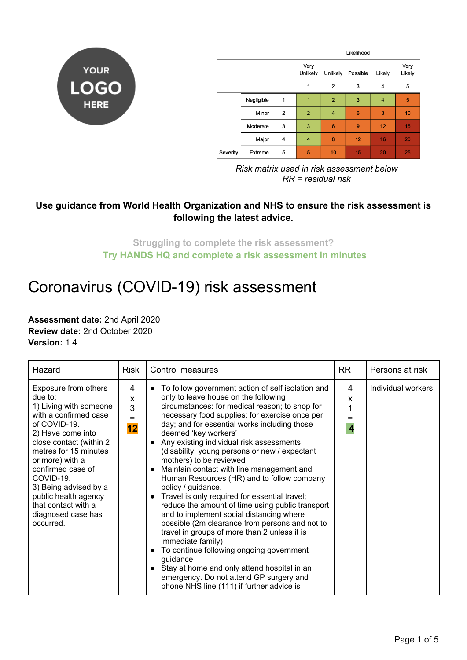

|          |            |                | Likelihood       |                |          |        |                |
|----------|------------|----------------|------------------|----------------|----------|--------|----------------|
|          |            |                | Very<br>Unlikely | Unlikely       | Possible | Likely | Very<br>Likely |
|          |            |                | 1                | $\overline{2}$ | 3        | 4      | 5              |
|          | Negligible | 1              | 1                | $\overline{2}$ | 3        | 4      | 5              |
|          | Minor      | $\overline{2}$ | $\overline{2}$   | 4              | 6        | 8      | 10             |
|          | Moderate   | 3              | 3                | 6              | 9        | 12     | 15             |
|          | Major      | 4              | $\overline{4}$   | 8              | 12       | 16     | 20             |
| Severity | Extreme    | 5              | 5                | 10             | 15       | 20     | 25             |

*Risk matrix used in risk assessment below RR = residual risk*

## **Use guidance from World Health Organization and NHS to ensure the risk assessment is following the latest advice.**

**Struggling to complete the risk assessment? [Try HANDS HQ and complete a risk assessment in minutes](https://www.handshq.com/ppc/construction/?utm_source=free-template)**

## Coronavirus (COVID-19) risk assessment

**Assessment date:** 2nd April 2020 **Review date:** 2nd October 2020 **Version:** 1.4

| Hazard                                                                                                                                                                                                                                                                                                                                      | Risk              | <b>Control measures</b>                                                                                                                                                                                                                                                                                                                                                                                                                                                                                                                                                                                                                                                                                                                                                                                                                                                                                                                                                                                                        | <b>RR</b>                         | Persons at risk    |
|---------------------------------------------------------------------------------------------------------------------------------------------------------------------------------------------------------------------------------------------------------------------------------------------------------------------------------------------|-------------------|--------------------------------------------------------------------------------------------------------------------------------------------------------------------------------------------------------------------------------------------------------------------------------------------------------------------------------------------------------------------------------------------------------------------------------------------------------------------------------------------------------------------------------------------------------------------------------------------------------------------------------------------------------------------------------------------------------------------------------------------------------------------------------------------------------------------------------------------------------------------------------------------------------------------------------------------------------------------------------------------------------------------------------|-----------------------------------|--------------------|
| Exposure from others<br>due to:<br>1) Living with someone<br>with a confirmed case<br>of COVID-19.<br>2) Have come into<br>close contact (within 2<br>metres for 15 minutes<br>or more) with a<br>confirmed case of<br>COVID-19.<br>3) Being advised by a<br>public health agency<br>that contact with a<br>diagnosed case has<br>occurred. | 4<br>X<br>3<br>12 | • To follow government action of self isolation and<br>only to leave house on the following<br>circumstances: for medical reason; to shop for<br>necessary food supplies; for exercise once per<br>day; and for essential works including those<br>deemed 'key workers'<br>Any existing individual risk assessments<br>$\bullet$<br>(disability, young persons or new / expectant<br>mothers) to be reviewed<br>Maintain contact with line management and<br>$\bullet$<br>Human Resources (HR) and to follow company<br>policy / guidance.<br>Travel is only required for essential travel;<br>$\bullet$<br>reduce the amount of time using public transport<br>and to implement social distancing where<br>possible (2m clearance from persons and not to<br>travel in groups of more than 2 unless it is<br>immediate family)<br>To continue following ongoing government<br>guidance<br>Stay at home and only attend hospital in an<br>emergency. Do not attend GP surgery and<br>phone NHS line (111) if further advice is | 4<br>x<br>$\overline{\mathbf{4}}$ | Individual workers |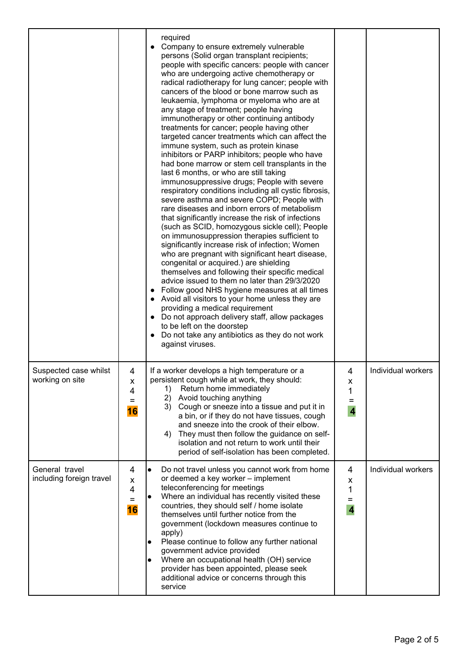|                                            |                          | required<br>Company to ensure extremely vulnerable<br>$\bullet$<br>persons (Solid organ transplant recipients;<br>people with specific cancers: people with cancer<br>who are undergoing active chemotherapy or<br>radical radiotherapy for lung cancer; people with<br>cancers of the blood or bone marrow such as<br>leukaemia, lymphoma or myeloma who are at<br>any stage of treatment; people having<br>immunotherapy or other continuing antibody<br>treatments for cancer; people having other<br>targeted cancer treatments which can affect the<br>immune system, such as protein kinase<br>inhibitors or PARP inhibitors; people who have<br>had bone marrow or stem cell transplants in the<br>last 6 months, or who are still taking<br>immunosuppressive drugs; People with severe<br>respiratory conditions including all cystic fibrosis,<br>severe asthma and severe COPD; People with<br>rare diseases and inborn errors of metabolism<br>that significantly increase the risk of infections<br>(such as SCID, homozygous sickle cell); People<br>on immunosuppression therapies sufficient to<br>significantly increase risk of infection; Women<br>who are pregnant with significant heart disease,<br>congenital or acquired.) are shielding<br>themselves and following their specific medical<br>advice issued to them no later than 29/3/2020<br>Follow good NHS hygiene measures at all times<br>Avoid all visitors to your home unless they are<br>providing a medical requirement<br>Do not approach delivery staff, allow packages<br>$\bullet$<br>to be left on the doorstep<br>Do not take any antibiotics as they do not work<br>$\bullet$<br>against viruses. |                                               |                    |
|--------------------------------------------|--------------------------|----------------------------------------------------------------------------------------------------------------------------------------------------------------------------------------------------------------------------------------------------------------------------------------------------------------------------------------------------------------------------------------------------------------------------------------------------------------------------------------------------------------------------------------------------------------------------------------------------------------------------------------------------------------------------------------------------------------------------------------------------------------------------------------------------------------------------------------------------------------------------------------------------------------------------------------------------------------------------------------------------------------------------------------------------------------------------------------------------------------------------------------------------------------------------------------------------------------------------------------------------------------------------------------------------------------------------------------------------------------------------------------------------------------------------------------------------------------------------------------------------------------------------------------------------------------------------------------------------------------------------------------------------------------------------------------------|-----------------------------------------------|--------------------|
| Suspected case whilst<br>working on site   | 4<br>x<br>4<br>Ξ<br>16   | If a worker develops a high temperature or a<br>persistent cough while at work, they should:<br>Return home immediately<br>1)<br>2) Avoid touching anything<br>3) Cough or sneeze into a tissue and put it in<br>a bin, or if they do not have tissues, cough<br>and sneeze into the crook of their elbow.<br>They must then follow the guidance on self-<br>4)<br>isolation and not return to work until their<br>period of self-isolation has been completed.                                                                                                                                                                                                                                                                                                                                                                                                                                                                                                                                                                                                                                                                                                                                                                                                                                                                                                                                                                                                                                                                                                                                                                                                                              | 4<br>x<br>1<br>$=$<br>$\overline{\mathbf{4}}$ | Individual workers |
| General travel<br>including foreign travel | 4<br>x<br>4<br>$=$<br>16 | Do not travel unless you cannot work from home<br>$\bullet$<br>or deemed a key worker - implement<br>teleconferencing for meetings<br>Where an individual has recently visited these<br>$\bullet$<br>countries, they should self / home isolate<br>themselves until further notice from the<br>government (lockdown measures continue to<br>apply)<br>Please continue to follow any further national<br>$\bullet$<br>government advice provided<br>Where an occupational health (OH) service<br>$\bullet$<br>provider has been appointed, please seek<br>additional advice or concerns through this<br>service                                                                                                                                                                                                                                                                                                                                                                                                                                                                                                                                                                                                                                                                                                                                                                                                                                                                                                                                                                                                                                                                               | 4<br>X<br>1<br>$=$<br>$\overline{\mathbf{4}}$ | Individual workers |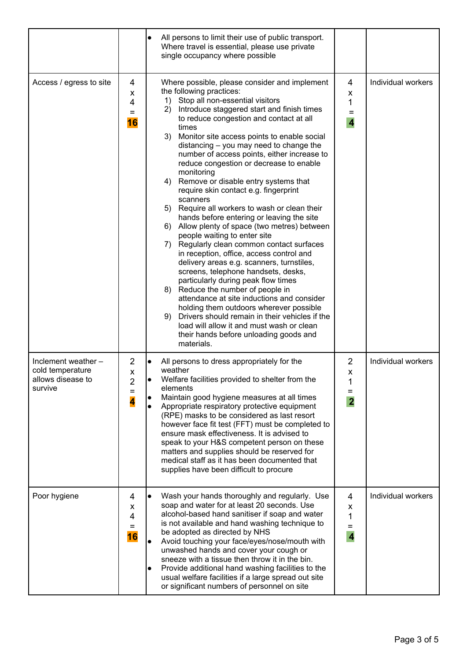|                                                                         |                                 | All persons to limit their use of public transport.<br>Where travel is essential, please use private<br>single occupancy where possible                                                                                                                                                                                                                                                                                                                                                                                                                                                                                                                                                                                                                                                                                                                                                                                                                                                                                                                                                                                                                                                                                  |                                               |                    |
|-------------------------------------------------------------------------|---------------------------------|--------------------------------------------------------------------------------------------------------------------------------------------------------------------------------------------------------------------------------------------------------------------------------------------------------------------------------------------------------------------------------------------------------------------------------------------------------------------------------------------------------------------------------------------------------------------------------------------------------------------------------------------------------------------------------------------------------------------------------------------------------------------------------------------------------------------------------------------------------------------------------------------------------------------------------------------------------------------------------------------------------------------------------------------------------------------------------------------------------------------------------------------------------------------------------------------------------------------------|-----------------------------------------------|--------------------|
| Access / egress to site                                                 | 4<br>x<br>4<br>$=$<br><b>16</b> | Where possible, please consider and implement<br>the following practices:<br>1) Stop all non-essential visitors<br>Introduce staggered start and finish times<br>2)<br>to reduce congestion and contact at all<br>times<br>3) Monitor site access points to enable social<br>distancing - you may need to change the<br>number of access points, either increase to<br>reduce congestion or decrease to enable<br>monitoring<br>4) Remove or disable entry systems that<br>require skin contact e.g. fingerprint<br>scanners<br>5) Require all workers to wash or clean their<br>hands before entering or leaving the site<br>6) Allow plenty of space (two metres) between<br>people waiting to enter site<br>7) Regularly clean common contact surfaces<br>in reception, office, access control and<br>delivery areas e.g. scanners, turnstiles,<br>screens, telephone handsets, desks,<br>particularly during peak flow times<br>8) Reduce the number of people in<br>attendance at site inductions and consider<br>holding them outdoors wherever possible<br>9) Drivers should remain in their vehicles if the<br>load will allow it and must wash or clean<br>their hands before unloading goods and<br>materials. | 4<br>X<br>1<br>$=$<br>$\overline{\mathbf{4}}$ | Individual workers |
| Inclement weather -<br>cold temperature<br>allows disease to<br>survive | 2<br>X<br>⌒<br>۷<br>$=$<br>4    | All persons to dress appropriately for the<br>weather<br>Welfare facilities provided to shelter from the<br>elements<br>Maintain good hygiene measures at all times<br>Appropriate respiratory protective equipment<br>$\bullet$<br>(RPE) masks to be considered as last resort<br>however face fit test (FFT) must be completed to<br>ensure mask effectiveness. It is advised to<br>speak to your H&S competent person on these<br>matters and supplies should be reserved for<br>medical staff as it has been documented that<br>supplies have been difficult to procure                                                                                                                                                                                                                                                                                                                                                                                                                                                                                                                                                                                                                                              | $\overline{2}$<br>X<br>$=$<br>$\overline{2}$  | Individual workers |
| Poor hygiene                                                            | 4<br>x<br>4<br>Ξ<br>16          | Wash your hands thoroughly and regularly. Use<br>$\bullet$<br>soap and water for at least 20 seconds. Use<br>alcohol-based hand sanitiser if soap and water<br>is not available and hand washing technique to<br>be adopted as directed by NHS<br>Avoid touching your face/eyes/nose/mouth with<br>unwashed hands and cover your cough or<br>sneeze with a tissue then throw it in the bin.<br>Provide additional hand washing facilities to the<br>usual welfare facilities if a large spread out site<br>or significant numbers of personnel on site                                                                                                                                                                                                                                                                                                                                                                                                                                                                                                                                                                                                                                                                   | 4<br>X<br>1<br>$\overline{4}$                 | Individual workers |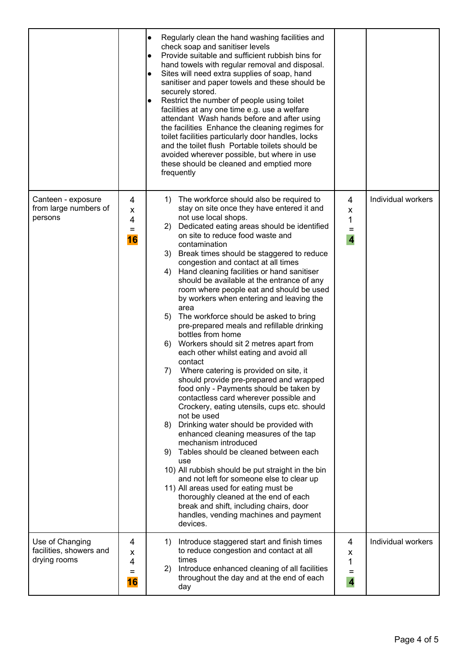|                                                            |                                      | Regularly clean the hand washing facilities and<br>$\bullet$<br>check soap and sanitiser levels<br>Provide suitable and sufficient rubbish bins for<br>$\bullet$<br>hand towels with regular removal and disposal.<br>Sites will need extra supplies of soap, hand<br>$\bullet$<br>sanitiser and paper towels and these should be<br>securely stored.<br>Restrict the number of people using toilet<br>facilities at any one time e.g. use a welfare<br>attendant Wash hands before and after using<br>the facilities Enhance the cleaning regimes for<br>toilet facilities particularly door handles, locks<br>and the toilet flush Portable toilets should be<br>avoided wherever possible, but where in use<br>these should be cleaned and emptied more<br>frequently                                                                                                                                                                                                                                                                                                                                                                                                                                                                                                                                                                                                                                                                        |                                                     |                    |
|------------------------------------------------------------|--------------------------------------|-------------------------------------------------------------------------------------------------------------------------------------------------------------------------------------------------------------------------------------------------------------------------------------------------------------------------------------------------------------------------------------------------------------------------------------------------------------------------------------------------------------------------------------------------------------------------------------------------------------------------------------------------------------------------------------------------------------------------------------------------------------------------------------------------------------------------------------------------------------------------------------------------------------------------------------------------------------------------------------------------------------------------------------------------------------------------------------------------------------------------------------------------------------------------------------------------------------------------------------------------------------------------------------------------------------------------------------------------------------------------------------------------------------------------------------------------|-----------------------------------------------------|--------------------|
| Canteen - exposure<br>from large numbers of<br>persons     | 4<br>x<br>4<br>$\equiv$<br><b>16</b> | 1) The workforce should also be required to<br>stay on site once they have entered it and<br>not use local shops.<br>2) Dedicated eating areas should be identified<br>on site to reduce food waste and<br>contamination<br>3) Break times should be staggered to reduce<br>congestion and contact at all times<br>Hand cleaning facilities or hand sanitiser<br>4)<br>should be available at the entrance of any<br>room where people eat and should be used<br>by workers when entering and leaving the<br>area<br>The workforce should be asked to bring<br>5)<br>pre-prepared meals and refillable drinking<br>bottles from home<br>Workers should sit 2 metres apart from<br>6)<br>each other whilst eating and avoid all<br>contact<br>Where catering is provided on site, it<br>7)<br>should provide pre-prepared and wrapped<br>food only - Payments should be taken by<br>contactless card wherever possible and<br>Crockery, eating utensils, cups etc. should<br>not be used<br>Drinking water should be provided with<br>8)<br>enhanced cleaning measures of the tap<br>mechanism introduced<br>9) Tables should be cleaned between each<br>use<br>10) All rubbish should be put straight in the bin<br>and not left for someone else to clear up<br>11) All areas used for eating must be<br>thoroughly cleaned at the end of each<br>break and shift, including chairs, door<br>handles, vending machines and payment<br>devices. | 4<br>x<br>1<br>$\quad =$<br>$\overline{\mathbf{4}}$ | Individual workers |
| Use of Changing<br>facilities, showers and<br>drying rooms | 4<br>х<br>4<br>Ξ<br>16               | Introduce staggered start and finish times<br>1)<br>to reduce congestion and contact at all<br>times<br>Introduce enhanced cleaning of all facilities<br>2)<br>throughout the day and at the end of each<br>day                                                                                                                                                                                                                                                                                                                                                                                                                                                                                                                                                                                                                                                                                                                                                                                                                                                                                                                                                                                                                                                                                                                                                                                                                                 | 4<br>X<br>1<br>$=$<br>$\overline{\mathbf{4}}$       | Individual workers |